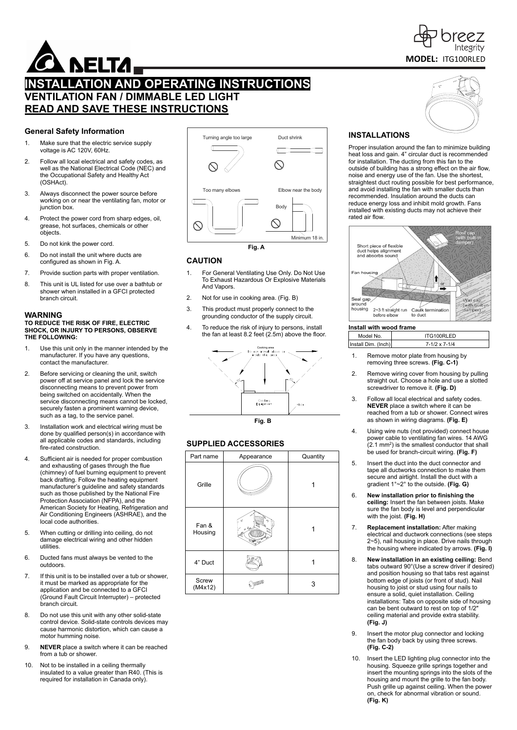

# **INSTALLATION AND OPERATING INSTRUCTIONS VENTILATION FAN / DIMMABLE LED LIGHT READ AND SAVE THESE INSTRUCTIONS**

### **General Safety Information**

- 1. Make sure that the electric service supply voltage is AC 120V, 60Hz.
- 2. Follow all local electrical and safety codes, as well as the National Electrical Code (NEC) and the Occupational Safety and Healthy Act (OSHAct).
- 3. Always disconnect the power source before working on or near the ventilating fan, motor or junction box.
- 4. Protect the power cord from sharp edges, oil, grease, hot surfaces, chemicals or other objects.
- 5. Do not kink the power cord.
- 6. Do not install the unit where ducts are configured as shown in Fig. A.
- 7. Provide suction parts with proper ventilation.
- 8. This unit is UL listed for use over a bathtub or shower when installed in a GFCI protected branch circuit.

#### **WARNING TO REDUCE THE RISK OF FIRE, ELECTRIC SHOCK, OR INJURY TO PERSONS, OBSERVE THE FOLLOWING:**

- 1. Use this unit only in the manner intended by the manufacturer. If you have any questions, contact the manufacturer.
- 2. Before servicing or cleaning the unit, switch power off at service panel and lock the service disconnecting means to prevent power from being switched on accidentally. When the service disconnecting means cannot be locked, securely fasten a prominent warning device, such as a tag, to the service panel.
- 3. Installation work and electrical wiring must be done by qualified person(s) in accordance with all applicable codes and standards, including fire-rated construction.
- 4. Sufficient air is needed for proper combustion and exhausting of gases through the flue (chimney) of fuel burning equipment to prevent back drafting. Follow the heating equipment manufacturer's guideline and safety standards such as those published by the National Fire Protection Association (NFPA), and the American Society for Heating, Refrigeration and Air Conditioning Engineers (ASHRAE), and the local code authorities.
- 5. When cutting or drilling into ceiling, do not damage electrical wiring and other hidden utilities.
- 6. Ducted fans must always be vented to the outdoors.
- 7. If this unit is to be installed over a tub or shower, it must be marked as appropriate for the application and be connected to a GFCI (Ground Fault Circuit Interrupter) – protected branch circuit.
- 8. Do not use this unit with any other solid-state control device. Solid-state controls devices may cause harmonic distortion, which can cause a motor humming noise.
- 9. **NEVER** place a switch where it can be reached from a tub or shower.
- 10. Not to be installed in a ceiling thermally insulated to a value greater than R40. (This is required for installation in Canada only).



# **CAUTION**

- 1. For General Ventilating Use Only. Do Not Use To Exhaust Hazardous Or Explosive Materials And Vapors.
- 2. Not for use in cooking area. (Fig. B)
- 3. This product must properly connect to the grounding conductor of the supply circuit.
- 4. To reduce the risk of injury to persons, install the fan at least 8.2 feet (2.5m) above the floor.



# **SUPPLIED ACCESSORIES**

| Part name        | Appearance | Quantity |  |
|------------------|------------|----------|--|
| Grille           |            |          |  |
| Fan &<br>Housing |            |          |  |
| 4" Duct          |            |          |  |
| Screw<br>(M4x12) |            |          |  |

# **MODEL:**  ITG100RLED

7reez

# **INSTALLATIONS**

Proper insulation around the fan to minimize building heat loss and gain. 4" circular duct is recommended for installation. The ducting from this fan to the outside of building has a strong effect on the air flow, noise and energy use of the fan. Use the shortest, straightest duct routing possible for best performance, and avoid installing the fan with smaller ducts than recommended. Insulation around the ducts can reduce energy loss and inhibit mold growth. Fans installed with existing ducts may not achieve their rated air flow.



#### **Install with wood frame**

| Model No.           | ITG100RLED           |
|---------------------|----------------------|
| Install Dim. (Inch) | $7-1/2 \times 7-1/4$ |

- 1. Remove motor plate from housing by removing three screws. **(Fig. C-1)**
- 2. Remove wiring cover from housing by pulling straight out. Choose a hole and use a slotted screwdriver to remove it. **(Fig. D)**
- 3. Follow all local electrical and safety codes. **NEVER** place a switch where it can be reached from a tub or shower. Connect wires as shown in wiring diagrams. **(Fig. E)**
- 4. Using wire nuts (not provided) connect house power cable to ventilating fan wires. 14 AWG (2.1 mm2 ) is the smallest conductor that shall be used for branch-circuit wiring. **(Fig. F)**
- 5. Insert the duct into the duct connector and tape all ductworks connection to make them secure and airtight. Install the duct with a gradient 1°~2° to the outside. **(Fig. G)**
- 6. **New installation prior to finishing the ceiling:** Insert the fan between joists. Make sure the fan body is level and perpendicular with the joist. **(Fig. H)**
- 7. **Replacement installation:** After making electrical and ductwork connections (see steps 2~5), nail housing in place. Drive nails through the housing where indicated by arrows. **(Fig. I)**
- 8. **New installation in an existing ceiling:** Bend tabs outward 90°(Use a screw driver if desired) and position housing so that tabs rest against bottom edge of joists (or front of stud). Nail housing to joist or stud using four nails to ensure a solid, quiet installation. Ceiling installations: Tabs on opposite side of housing can be bent outward to rest on top of 1/2" ceiling material and provide extra stability. **(Fig. J)**
- 9. Insert the motor plug connector and locking the fan body back by using three screws. **(Fig. C-2)**
- 10. Insert the LED lighting plug connector into the housing. Squeeze grille springs together and insert the mounting springs into the slots of the housing and mount the grille to the fan body. Push grille up against ceiling. When the power on, check for abnormal vibration or sound. **(Fig. K)**